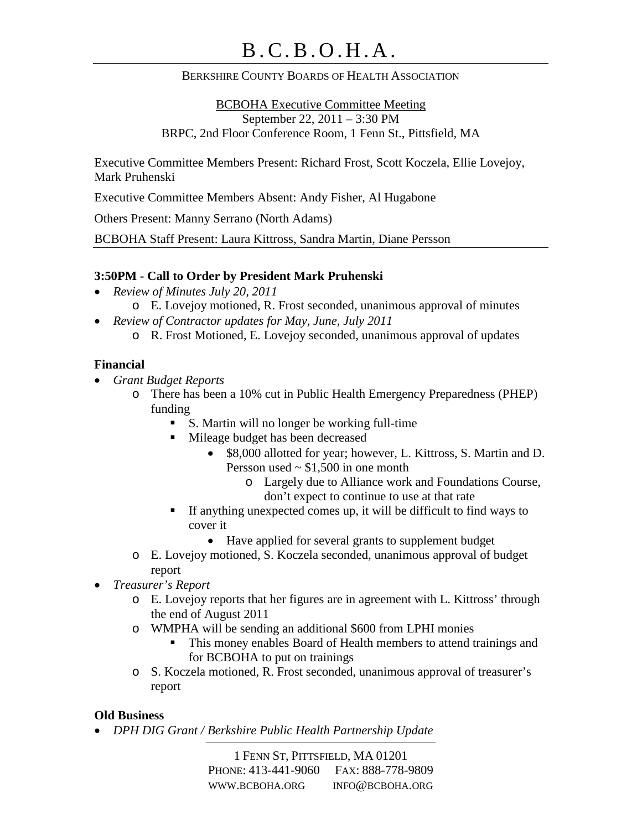### BERKSHIRE COUNTY BOARDS OF HEALTH ASSOCIATION

BCBOHA Executive Committee Meeting September 22, 2011 – 3:30 PM BRPC, 2nd Floor Conference Room, 1 Fenn St., Pittsfield, MA

Executive Committee Members Present: Richard Frost, Scott Koczela, Ellie Lovejoy, Mark Pruhenski

Executive Committee Members Absent: Andy Fisher, Al Hugabone

Others Present: Manny Serrano (North Adams)

BCBOHA Staff Present: Laura Kittross, Sandra Martin, Diane Persson

#### **3:50PM - Call to Order by President Mark Pruhenski**

- *Review of Minutes July 20, 2011*
	- o E. Lovejoy motioned, R. Frost seconded, unanimous approval of minutes
- *Review of Contractor updates for May, June, July 2011*
	- o R. Frost Motioned, E. Lovejoy seconded, unanimous approval of updates

#### **Financial**

- *Grant Budget Reports*
	- o There has been a 10% cut in Public Health Emergency Preparedness (PHEP) funding
		- S. Martin will no longer be working full-time
		- **Mileage budget has been decreased** 
			- \$8,000 allotted for year; however, L. Kittross, S. Martin and D. Persson used  $\sim$  \$1,500 in one month
				- o Largely due to Alliance work and Foundations Course, don't expect to continue to use at that rate
		- $\blacksquare$  If anything unexpected comes up, it will be difficult to find ways to cover it
			- Have applied for several grants to supplement budget
	- o E. Lovejoy motioned, S. Koczela seconded, unanimous approval of budget report
- *Treasurer's Report*
	- o E. Lovejoy reports that her figures are in agreement with L. Kittross' through the end of August 2011
	- o WMPHA will be sending an additional \$600 from LPHI monies
		- This money enables Board of Health members to attend trainings and for BCBOHA to put on trainings
	- o S. Koczela motioned, R. Frost seconded, unanimous approval of treasurer's report

#### **Old Business**

• *DPH DIG Grant / Berkshire Public Health Partnership Update*

1 FENN ST, PITTSFIELD, MA 01201 PHONE: 413-441-9060 FAX: 888-778-9809 WWW.BCBOHA.ORG INFO@BCBOHA.ORG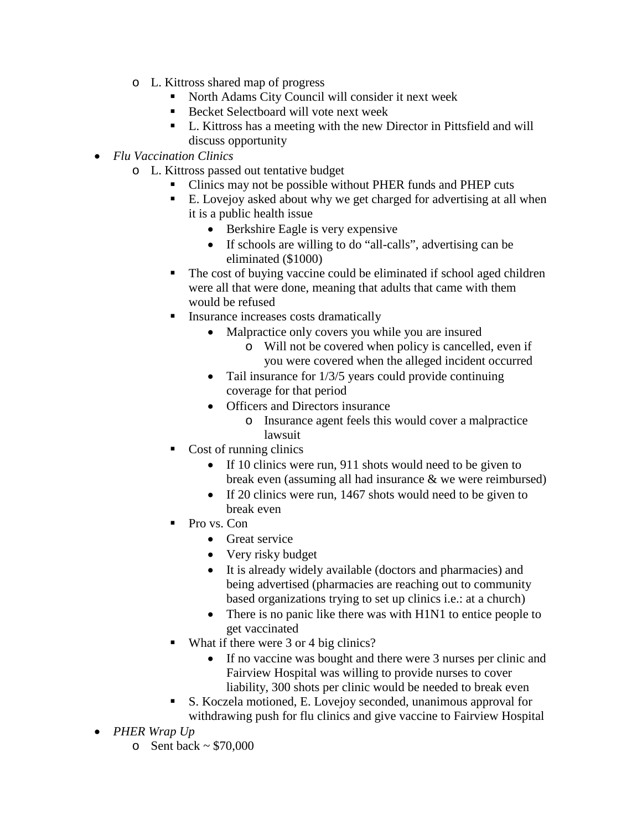- o L. Kittross shared map of progress
	- North Adams City Council will consider it next week
	- Becket Selectboard will vote next week
	- L. Kittross has a meeting with the new Director in Pittsfield and will discuss opportunity
- *Flu Vaccination Clinics*
	- o L. Kittross passed out tentative budget
		- Clinics may not be possible without PHER funds and PHEP cuts
		- E. Lovejoy asked about why we get charged for advertising at all when it is a public health issue
			- Berkshire Eagle is very expensive
			- If schools are willing to do "all-calls", advertising can be eliminated (\$1000)
		- The cost of buying vaccine could be eliminated if school aged children were all that were done, meaning that adults that came with them would be refused
		- **Insurance increases costs dramatically** 
			- Malpractice only covers you while you are insured
				- o Will not be covered when policy is cancelled, even if you were covered when the alleged incident occurred
			- Tail insurance for  $1/3/5$  years could provide continuing coverage for that period
			- Officers and Directors insurance
				- o Insurance agent feels this would cover a malpractice lawsuit
		- Cost of running clinics
			- If 10 clinics were run, 911 shots would need to be given to break even (assuming all had insurance & we were reimbursed)
			- If 20 clinics were run, 1467 shots would need to be given to break even
		- Pro vs. Con
			- Great service
			- Very risky budget
			- It is already widely available (doctors and pharmacies) and being advertised (pharmacies are reaching out to community based organizations trying to set up clinics i.e.: at a church)
			- There is no panic like there was with H1N1 to entice people to get vaccinated
		- What if there were 3 or 4 big clinics?
			- If no vaccine was bought and there were 3 nurses per clinic and Fairview Hospital was willing to provide nurses to cover liability, 300 shots per clinic would be needed to break even
		- S. Koczela motioned, E. Lovejoy seconded, unanimous approval for withdrawing push for flu clinics and give vaccine to Fairview Hospital
- *PHER Wrap Up*
	- $\circ$  Sent back ~ \$70,000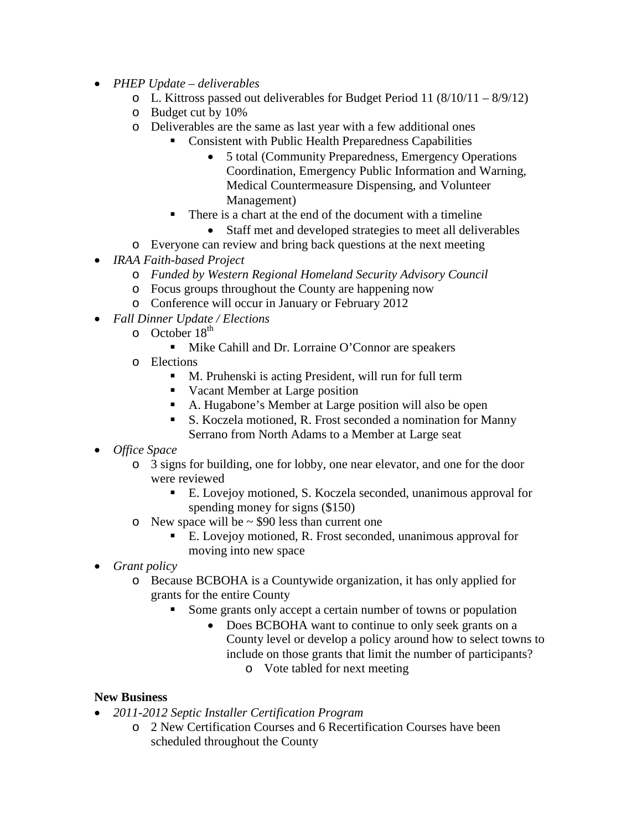- *PHEP Update – deliverables* 
	- o L. Kittross passed out deliverables for Budget Period 11 (8/10/11 8/9/12)
	- o Budget cut by 10%
	- o Deliverables are the same as last year with a few additional ones
		- Consistent with Public Health Preparedness Capabilities
			- 5 total (Community Preparedness, Emergency Operations Coordination, Emergency Public Information and Warning, Medical Countermeasure Dispensing, and Volunteer Management)
		- There is a chart at the end of the document with a timeline
			- Staff met and developed strategies to meet all deliverables
	- o Everyone can review and bring back questions at the next meeting
- *IRAA Faith-based Project*
	- o *Funded by Western Regional Homeland Security Advisory Council*
	- o Focus groups throughout the County are happening now
	- o Conference will occur in January or February 2012
- *Fall Dinner Update / Elections*
	- $\circ$  October 18<sup>th</sup>
		- Mike Cahill and Dr. Lorraine O'Connor are speakers
	- o Elections
		- M. Pruhenski is acting President, will run for full term
		- Vacant Member at Large position
		- A. Hugabone's Member at Large position will also be open
		- S. Koczela motioned, R. Frost seconded a nomination for Manny Serrano from North Adams to a Member at Large seat
- *Office Space*
	- o 3 signs for building, one for lobby, one near elevator, and one for the door were reviewed
		- E. Lovejoy motioned, S. Koczela seconded, unanimous approval for spending money for signs (\$150)
	- $\circ$  New space will be  $\sim$  \$90 less than current one
		- E. Lovejoy motioned, R. Frost seconded, unanimous approval for moving into new space
- *Grant policy*
	- o Because BCBOHA is a Countywide organization, it has only applied for grants for the entire County
		- Some grants only accept a certain number of towns or population
			- Does BCBOHA want to continue to only seek grants on a County level or develop a policy around how to select towns to include on those grants that limit the number of participants?
				- o Vote tabled for next meeting

## **New Business**

- *2011-2012 Septic Installer Certification Program*
	- o 2 New Certification Courses and 6 Recertification Courses have been scheduled throughout the County